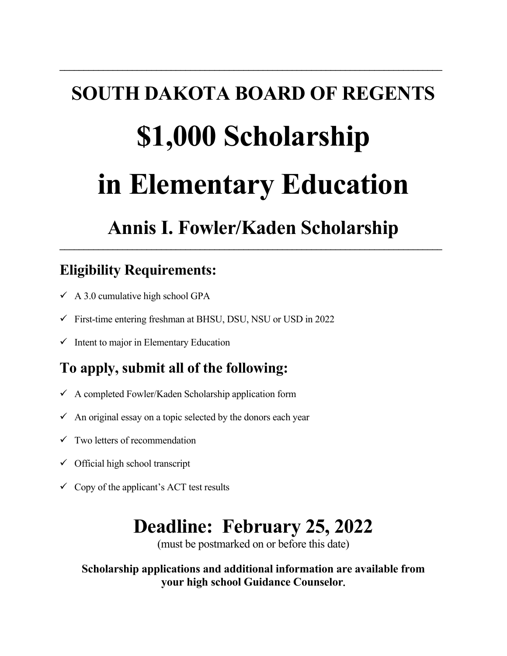# **SOUTH DAKOTA BOARD OF REGENTS \$1,000 Scholarship in Elementary Education**

**\_\_\_\_\_\_\_\_\_\_\_\_\_\_\_\_\_\_\_\_\_\_\_\_\_\_\_\_\_\_\_\_\_\_\_\_\_\_\_\_\_\_\_\_\_\_\_\_\_\_\_\_\_\_\_\_\_\_\_\_\_\_\_\_\_\_\_\_\_\_\_\_\_\_\_\_\_\_\_** 

# **Annis I. Fowler/Kaden Scholarship**

**\_\_\_\_\_\_\_\_\_\_\_\_\_\_\_\_\_\_\_\_\_\_\_\_\_\_\_\_\_\_\_\_\_\_\_\_\_\_\_\_\_\_\_\_\_\_\_\_\_\_\_\_\_\_\_\_\_\_\_\_\_\_\_\_\_\_\_\_\_\_\_\_\_\_\_\_\_\_\_**

## **Eligibility Requirements:**

- $\checkmark$  A 3.0 cumulative high school GPA
- $\checkmark$  First-time entering freshman at BHSU, DSU, NSU or USD in 2022
- $\checkmark$  Intent to major in Elementary Education

## **To apply, submit all of the following:**

- $\checkmark$  A completed Fowler/Kaden Scholarship application form
- $\checkmark$  An original essay on a topic selected by the donors each year
- $\checkmark$  Two letters of recommendation
- $\checkmark$  Official high school transcript
- $\checkmark$  Copy of the applicant's ACT test results

# **Deadline: February 25, 2022**

(must be postmarked on or before this date)

 **Scholarship applications and additional information are available from your high school Guidance Counselor.**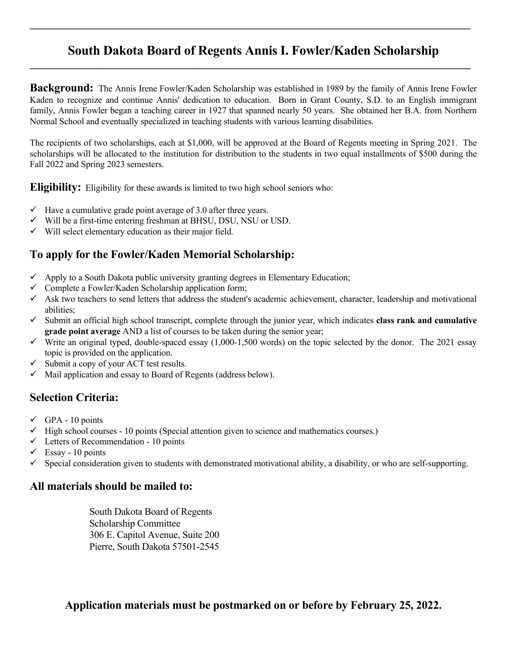#### **South Dakota Board of Regents Annis I. Fowler/Kaden Scholarship \_\_\_\_\_\_\_\_\_\_\_\_\_\_\_\_\_\_\_\_\_\_\_\_\_\_\_\_\_\_\_\_\_\_\_\_\_\_\_\_\_\_\_\_\_\_\_\_\_\_\_\_\_\_\_\_\_\_\_\_\_\_\_\_\_\_\_\_\_\_\_\_\_\_\_\_\_\_\_\_\_\_\_\_\_\_\_\_\_\_\_**

 $\mathcal{L}_\mathcal{L} = \mathcal{L}_\mathcal{L} = \mathcal{L}_\mathcal{L} = \mathcal{L}_\mathcal{L} = \mathcal{L}_\mathcal{L} = \mathcal{L}_\mathcal{L} = \mathcal{L}_\mathcal{L} = \mathcal{L}_\mathcal{L} = \mathcal{L}_\mathcal{L} = \mathcal{L}_\mathcal{L} = \mathcal{L}_\mathcal{L} = \mathcal{L}_\mathcal{L} = \mathcal{L}_\mathcal{L} = \mathcal{L}_\mathcal{L} = \mathcal{L}_\mathcal{L} = \mathcal{L}_\mathcal{L} = \mathcal{L}_\mathcal{L}$ 

**Background:** The Annis Irene Fowler/Kaden Scholarship was established in 1989 by the family of Annis Irene Fowler Kaden to recognize and continue Annis' dedication to education. Born in Grant County, S.D. to an English immigrant family, Annis Fowler began a teaching career in 1927 that spanned nearly 50 years. She obtained her B.A. from Northern Normal School and eventually specialized in teaching students with various learning disabilities.

The recipients of two scholarships, each at \$1,000, will be approved at the Board of Regents meeting in Spring 2021. The scholarships will be allocated to the institution for distribution to the students in two equal installments of \$500 during the Fall 2022 and Spring 2023 semesters.

**Eligibility:** Eligibility for these awards is limited to two high school seniors who:

- $\checkmark$  Have a cumulative grade point average of 3.0 after three years.
- $\checkmark$  Will be a first-time entering freshman at BHSU, DSU, NSU or USD.
- $\checkmark$  Will select elementary education as their major field.

#### **To apply for the Fowler/Kaden Memorial Scholarship:**

- $\checkmark$  Apply to a South Dakota public university granting degrees in Elementary Education;
- $\checkmark$  Complete a Fowler/Kaden Scholarship application form;
- $\checkmark$  Ask two teachers to send letters that address the student's academic achievement, character, leadership and motivational abilities;
- $\checkmark$  Submit an official high school transcript, complete through the junior year, which indicates **class rank and cumulative grade point average** AND a list of courses to be taken during the senior year;
- $\checkmark$  Write an original typed, double-spaced essay (1,000-1,500 words) on the topic selected by the donor. The 2021 essay topic is provided on the application.
- $\checkmark$  Submit a copy of your ACT test results.
- $\checkmark$  Mail application and essay to Board of Regents (address below).

#### **Selection Criteria:**

- $\checkmark$  GPA 10 points
- $\checkmark$  High school courses 10 points (Special attention given to science and mathematics courses.)
- $\checkmark$  Letters of Recommendation 10 points
- $\checkmark$  Essay 10 points
- $\checkmark$  Special consideration given to students with demonstrated motivational ability, a disability, or who are self-supporting.

#### **All materials should be mailed to:**

 South Dakota Board of Regents Scholarship Committee 306 E. Capitol Avenue, Suite 200 Pierre, South Dakota 57501-2545

 **Application materials must be postmarked on or before by February 25, 2022.**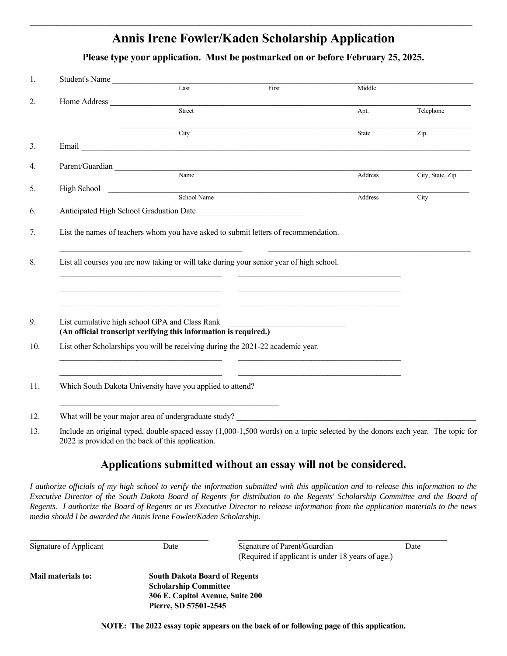### **Annis Irene Fowler/Kaden Scholarship Application**

**\_\_\_\_\_\_\_\_\_\_\_\_\_\_\_\_\_\_\_\_\_\_\_\_\_\_\_\_\_\_\_\_\_\_\_\_\_\_\_\_\_\_\_\_\_\_\_\_\_\_\_\_\_\_\_\_\_\_\_\_\_\_\_\_\_\_\_\_\_\_\_\_\_\_\_\_\_\_\_\_\_\_\_\_\_\_\_\_\_\_\_\_\_\_\_\_\_\_\_** 

 **Please type your application. Must be postmarked on or before February 25, 2025.**

|                                                | Student's Name                                                                                                                                                                                                                       |                                                                                                                                                                                                                                       |              |                    |
|------------------------------------------------|--------------------------------------------------------------------------------------------------------------------------------------------------------------------------------------------------------------------------------------|---------------------------------------------------------------------------------------------------------------------------------------------------------------------------------------------------------------------------------------|--------------|--------------------|
|                                                | Last                                                                                                                                                                                                                                 | First                                                                                                                                                                                                                                 | Middle       |                    |
| Home Address                                   |                                                                                                                                                                                                                                      |                                                                                                                                                                                                                                       |              |                    |
|                                                | Street                                                                                                                                                                                                                               |                                                                                                                                                                                                                                       | Apt.         | Telephone          |
|                                                | City                                                                                                                                                                                                                                 |                                                                                                                                                                                                                                       | <b>State</b> | Zip                |
|                                                | Email <b>Executive Contract Contract Contract Contract Contract Contract Contract Contract Contract Contract Contract Contract Contract Contract Contract Contract Contract Contract Contract Contract Contract Contract Contrac</b> |                                                                                                                                                                                                                                       |              |                    |
| Parent/Guardian                                |                                                                                                                                                                                                                                      |                                                                                                                                                                                                                                       |              |                    |
|                                                |                                                                                                                                                                                                                                      | Name                                                                                                                                                                                                                                  | Address      | City, State, Zip   |
|                                                |                                                                                                                                                                                                                                      | High School <u>Contains and School Name</u>                                                                                                                                                                                           |              |                    |
|                                                |                                                                                                                                                                                                                                      |                                                                                                                                                                                                                                       | Address      | $\overline{C}$ ity |
|                                                |                                                                                                                                                                                                                                      |                                                                                                                                                                                                                                       |              |                    |
|                                                |                                                                                                                                                                                                                                      | List all courses you are now taking or will take during your senior year of high school.                                                                                                                                              |              |                    |
|                                                |                                                                                                                                                                                                                                      |                                                                                                                                                                                                                                       |              |                    |
| List cumulative high school GPA and Class Rank | (An official transcript verifying this information is required.)                                                                                                                                                                     |                                                                                                                                                                                                                                       |              |                    |
|                                                |                                                                                                                                                                                                                                      | List other Scholarships you will be receiving during the 2021-22 academic year.<br><u> 1989 - Johann John Stone, markin film fan de ferske fan de ferske fan de ferske fan de ferske fan de ferske f</u>                              |              |                    |
|                                                | Which South Dakota University have you applied to attend?                                                                                                                                                                            |                                                                                                                                                                                                                                       |              |                    |
|                                                | <u> 1989 - Johann Barn, margin eta monte eta monte eta monte eta monte eta monte eta monte eta monte eta monte e</u>                                                                                                                 | What will be your major area of undergraduate study?<br><u>Letting and the contract of the study</u> and the study of the study of the study of the study of the study of the study of the study of the study of the study of the stu |              |                    |

2022 is provided on the back of this application.

#### **Applications submitted without an essay will not be considered.**

*I authorize officials of my high school to verify the information submitted with this application and to release this information to the Executive Director of the South Dakota Board of Regents for distribution to the Regents' Scholarship Committee and the Board of Regents. I authorize the Board of Regents or its Executive Director to release information from the application materials to the news media should I be awarded the Annis Irene Fowler/Kaden Scholarship.* 

| Signature of Applicant | Date                                                                                                                              | Signature of Parent/Guardian<br>(Required if applicant is under 18 years of age.) | Date |  |  |
|------------------------|-----------------------------------------------------------------------------------------------------------------------------------|-----------------------------------------------------------------------------------|------|--|--|
| Mail materials to:     | <b>South Dakota Board of Regents</b><br><b>Scholarship Committee</b><br>306 E. Capitol Avenue, Suite 200<br>Pierre, SD 57501-2545 |                                                                                   |      |  |  |

**NOTE: The 2022 essay topic appears on the back of or following page of this application.**